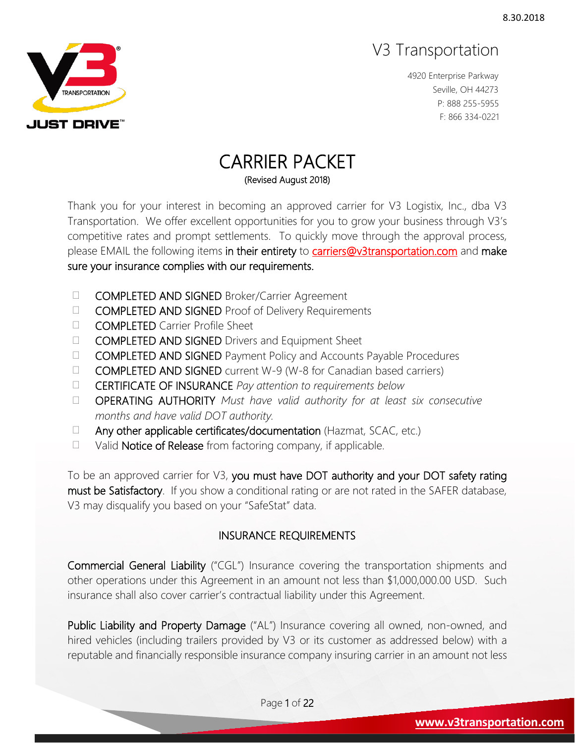

4920 Enterprise Parkway Seville, OH 44273 P: 888 255-5955 F: 866 334-0221

# CARRIER PACKET

(Revised August 2018)

Thank you for your interest in becoming an approved carrier for V3 Logistix, Inc., dba V3 Transportation. We offer excellent opportunities for you to grow your business through V3's competitive rates and prompt settlements. To quickly move through the approval process, please EMAIL the following items in their entirety to [carriers@v3transportation.com](mailto:carriers@v3transportation.com) and make sure your insurance complies with our requirements.

- **COMPLETED AND SIGNED** Broker/Carrier Agreement
- **COMPLETED AND SIGNED** Proof of Delivery Requirements
- COMPLETED Carrier Profile Sheet
- □ **COMPLETED AND SIGNED** Drivers and Equipment Sheet
- □ **COMPLETED AND SIGNED** Payment Policy and Accounts Payable Procedures
- $\Box$  **COMPLETED AND SIGNED** current W-9 (W-8 for Canadian based carriers)
- CERTIFICATE OF INSURANCE *Pay attention to requirements below*
- OPERATING AUTHORITY *Must have valid authority for at least six consecutive months and have valid DOT authority.*
- $\Box$  Any other applicable certificates/documentation (Hazmat, SCAC, etc.)
- $\Box$  Valid **Notice of Release** from factoring company, if applicable.

To be an approved carrier for V3, you must have DOT authority and your DOT safety rating must be Satisfactory. If you show a conditional rating or are not rated in the SAFER database, V3 may disqualify you based on your "SafeStat" data.

#### INSURANCE REQUIREMENTS

Commercial General Liability ("CGL") Insurance covering the transportation shipments and other operations under this Agreement in an amount not less than \$1,000,000.00 USD. Such insurance shall also cover carrier's contractual liability under this Agreement.

Public Liability and Property Damage ("AL") Insurance covering all owned, non-owned, and hired vehicles (including trailers provided by V3 or its customer as addressed below) with a reputable and financially responsible insurance company insuring carrier in an amount not less

Page 1 of 22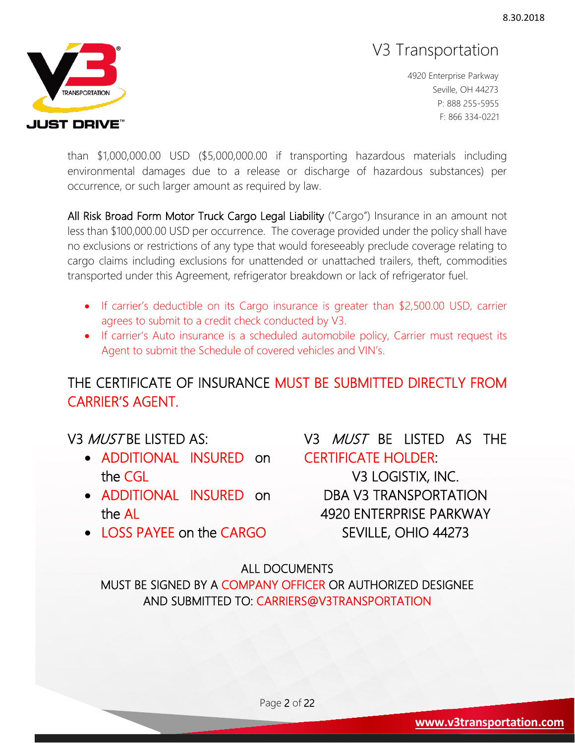

4920 Enterprise Parkway Seville, OH 44273 P: 888 255-5955 F: 866 334-0221

than \$1,000,000.00 USD (\$5,000,000.00 if transporting hazardous materials including environmental damages due to a release or discharge of hazardous substances) per occurrence, or such larger amount as required by law.

All Risk Broad Form Motor Truck Cargo Legal Liability ("Cargo") Insurance in an amount not less than \$100,000.00 USD per occurrence. The coverage provided under the policy shall have no exclusions or restrictions of any type that would foreseeably preclude coverage relating to cargo claims including exclusions for unattended or unattached trailers, theft, commodities transported under this Agreement, refrigerator breakdown or lack of refrigerator fuel.

- If carrier's deductible on its Cargo insurance is greater than \$2,500.00 USD, carrier agrees to submit to a credit check conducted by V3.
- If carrier's Auto insurance is a scheduled automobile policy, Carrier must request its Agent to submit the Schedule of covered vehicles and VIN's.

### THE CERTIFICATE OF INSURANCE MUST BE SUBMITTED DIRECTLY FROM CARRIER'S AGENT.

#### V3 *MUST* BE LISTED AS:

- ADDITIONAL INSURED on the CGL
- ADDITIONAL INSURED on the AL
- V3 MUST BE LISTED AS THE CERTIFICATE HOLDER:

V3 LOGISTIX, INC. DBA V3 TRANSPORTATION 4920 ENTERPRISE PARKWAY SEVILLE, OHIO 44273

• LOSS PAYEE on the CARGO

#### ALL DOCUMENTS

MUST BE SIGNED BY A COMPANY OFFICER OR AUTHORIZED DESIGNEE AND SUBMITTED TO: CARRIERS@V3TRANSPORTATION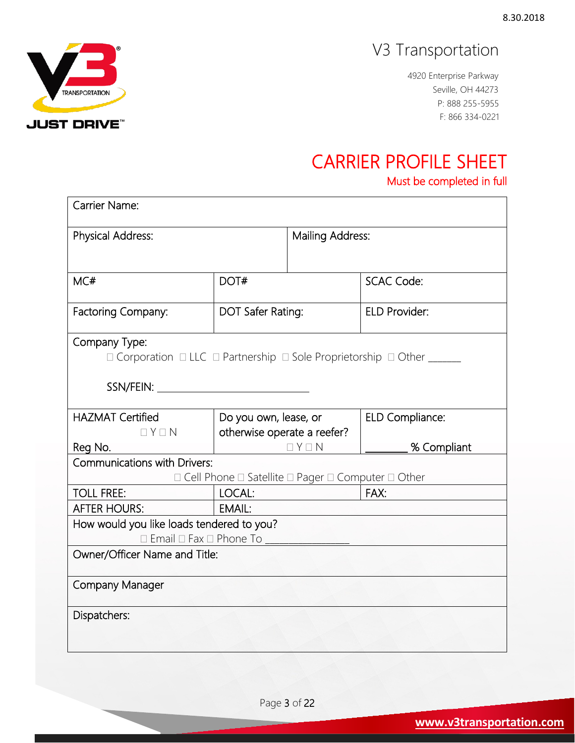4920 Enterprise Parkway Seville, OH 44273 P: 888 255-5955 F: 866 334-0221

## CARRIER PROFILE SHEET

Must be completed in full

| Physical Address:                              |                                                                                                | Mailing Address:     |  |
|------------------------------------------------|------------------------------------------------------------------------------------------------|----------------------|--|
| MC#                                            | DOT#                                                                                           | <b>SCAC Code:</b>    |  |
| Factoring Company:                             | DOT Safer Rating:                                                                              | <b>ELD Provider:</b> |  |
| Company Type:                                  | $\Box$ Corporation $\Box$ LLC $\Box$ Partnership $\Box$ Sole Proprietorship $\Box$ Other _____ |                      |  |
| <b>HAZMAT Certified</b>                        | Do you own, lease, or                                                                          | ELD Compliance:      |  |
|                                                |                                                                                                |                      |  |
| $\Box$ $Y \Box$ N                              | otherwise operate a reefer?<br>$\Box$ $Y \Box$ N                                               | % Compliant          |  |
| Reg No.<br><b>Communications with Drivers:</b> |                                                                                                |                      |  |
|                                                | □ Cell Phone □ Satellite □ Pager □ Computer □ Other                                            |                      |  |
| <b>TOLL FREE:</b>                              | LOCAL:                                                                                         | FAX:                 |  |
| <b>AFTER HOURS:</b>                            | EMAIL:                                                                                         |                      |  |
| How would you like loads tendered to you?      |                                                                                                |                      |  |
| $\Box$ Email $\Box$ Fax $\Box$ Phone To        |                                                                                                |                      |  |
| Owner/Officer Name and Title:                  |                                                                                                |                      |  |
|                                                |                                                                                                |                      |  |
| Company Manager                                |                                                                                                |                      |  |

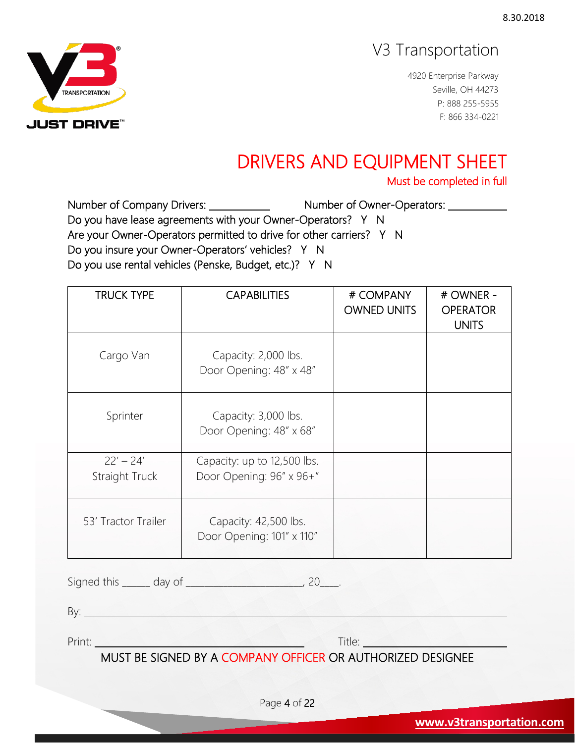4920 Enterprise Parkway Seville, OH 44273 P: 888 255-5955 F: 866 334-0221

# DRIVERS AND EQUIPMENT SHEET

Number of Company Drivers: Number of Owner-Operators: Do you have lease agreements with your Owner-Operators? Y N Are your Owner-Operators permitted to drive for other carriers? Y N Do you insure your Owner-Operators' vehicles? Y N Do you use rental vehicles (Penske, Budget, etc.)? Y N

| <b>TRUCK TYPE</b>             | <b>CAPABILITIES</b>                                     | # COMPANY<br><b>OWNED UNITS</b> | # OWNER -<br><b>OPERATOR</b><br><b>UNITS</b> |
|-------------------------------|---------------------------------------------------------|---------------------------------|----------------------------------------------|
| Cargo Van                     | Capacity: 2,000 lbs.<br>Door Opening: 48" x 48"         |                                 |                                              |
| Sprinter                      | Capacity: 3,000 lbs.<br>Door Opening: 48" x 68"         |                                 |                                              |
| $22' - 24'$<br>Straight Truck | Capacity: up to 12,500 lbs.<br>Door Opening: 96" x 96+" |                                 |                                              |
| 53' Tractor Trailer           | Capacity: 42,500 lbs.<br>Door Opening: 101" x 110"      |                                 |                                              |

Signed this \_\_\_\_\_\_\_ day of \_\_\_\_\_\_\_\_\_\_\_\_\_\_\_\_\_\_\_\_\_\_\_\_\_\_, 20\_\_\_\_.

By: **Example 2018** 

Print: Title:

MUST BE SIGNED BY A COMPANY OFFICER OR AUTHORIZED DESIGNEE

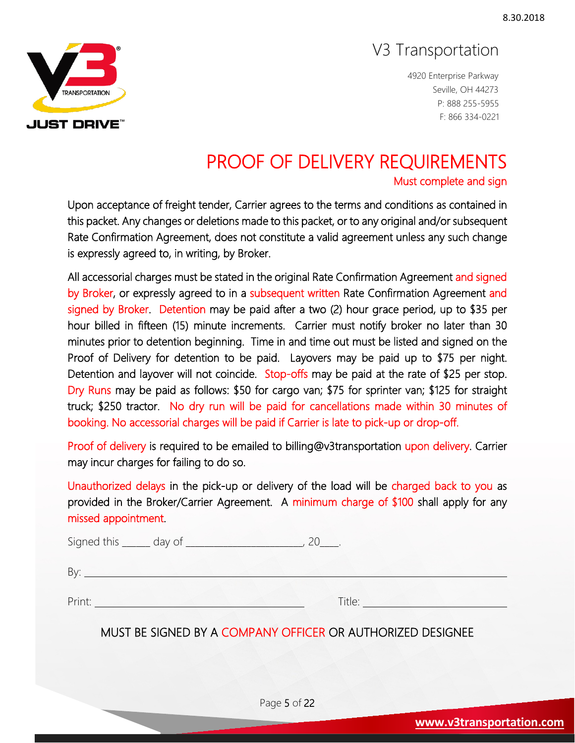4920 Enterprise Parkway Seville, OH 44273 P: 888 255-5955 F: 866 334-0221

# PROOF OF DELIVERY REQUIREMENTS

Upon acceptance of freight tender, Carrier agrees to the terms and conditions as contained in this packet. Any changes or deletions made to this packet, or to any original and/or subsequent Rate Confirmation Agreement, does not constitute a valid agreement unless any such change is expressly agreed to, in writing, by Broker.

All accessorial charges must be stated in the original Rate Confirmation Agreement and signed by Broker, or expressly agreed to in a subsequent written Rate Confirmation Agreement and signed by Broker. Detention may be paid after a two (2) hour grace period, up to \$35 per hour billed in fifteen (15) minute increments. Carrier must notify broker no later than 30 minutes prior to detention beginning. Time in and time out must be listed and signed on the Proof of Delivery for detention to be paid. Layovers may be paid up to \$75 per night. Detention and layover will not coincide. Stop-offs may be paid at the rate of \$25 per stop. Dry Runs may be paid as follows: \$50 for cargo van; \$75 for sprinter van; \$125 for straight truck; \$250 tractor. No dry run will be paid for cancellations made within 30 minutes of booking. No accessorial charges will be paid if Carrier is late to pick-up or drop-off.

Proof of delivery is required to be emailed to billing@v3transportation upon delivery. Carrier may incur charges for failing to do so.

Unauthorized delays in the pick-up or delivery of the load will be charged back to you as provided in the Broker/Carrier Agreement. A minimum charge of \$100 shall apply for any missed appointment.

| Signed this |  |
|-------------|--|
|             |  |

By:

Print: Title:

#### MUST BE SIGNED BY A COMPANY OFFICER OR AUTHORIZED DESIGNEE

Page 5 of 22

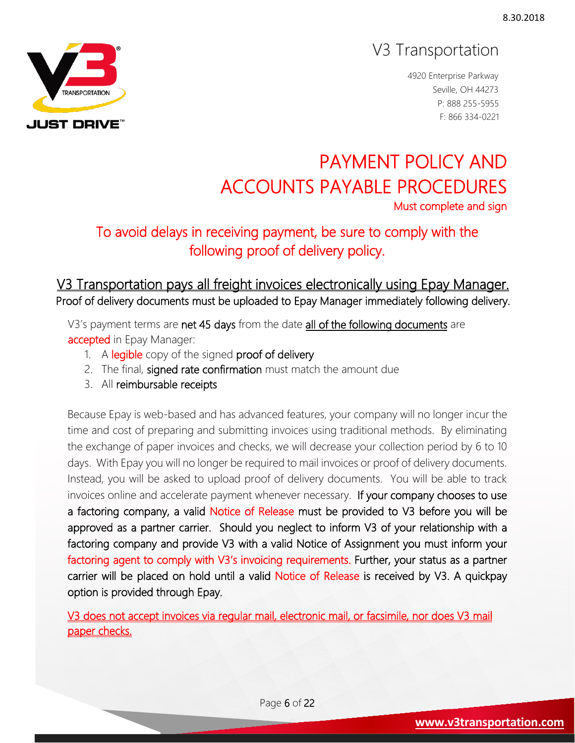4920 Enterprise Parkway Seville, OH 44273 P: 888 255-5955 F: 866 334-0221

# PAYMENT POLICY AND ACCOUNTS PAYABLE PROCEDURES<br>Must complete and sign

## To avoid delays in receiving payment, be sure to comply with the following proof of delivery policy.

#### V3 Transportation pays all freight invoices electronically using Epay Manager. Proof of delivery documents must be uploaded to Epay Manager immediately following delivery.

V3's payment terms are net 45 days from the date all of the following documents are accepted in Epay Manager:

- 1. A legible copy of the signed proof of delivery
- 2. The final, signed rate confirmation must match the amount due
- 3. All reimbursable receipts

Because Epay is web-based and has advanced features, your company will no longer incur the time and cost of preparing and submitting invoices using traditional methods. By eliminating the exchange of paper invoices and checks, we will decrease your collection period by 6 to 10 days. With Epay you will no longer be required to mail invoices or proof of delivery documents. Instead, you will be asked to upload proof of delivery documents. You will be able to track invoices online and accelerate payment whenever necessary. If your company chooses to use a factoring company, a valid Notice of Release must be provided to V3 before you will be approved as a partner carrier. Should you neglect to inform V3 of your relationship with a factoring company and provide V3 with a valid Notice of Assignment you must inform your factoring agent to comply with V3's invoicing requirements. Further, your status as a partner carrier will be placed on hold until a valid Notice of Release is received by V3. A quickpay option is provided through Epay.

V3 does not accept invoices via regular mail, electronic mail, or facsimile, nor does V3 mail paper checks.

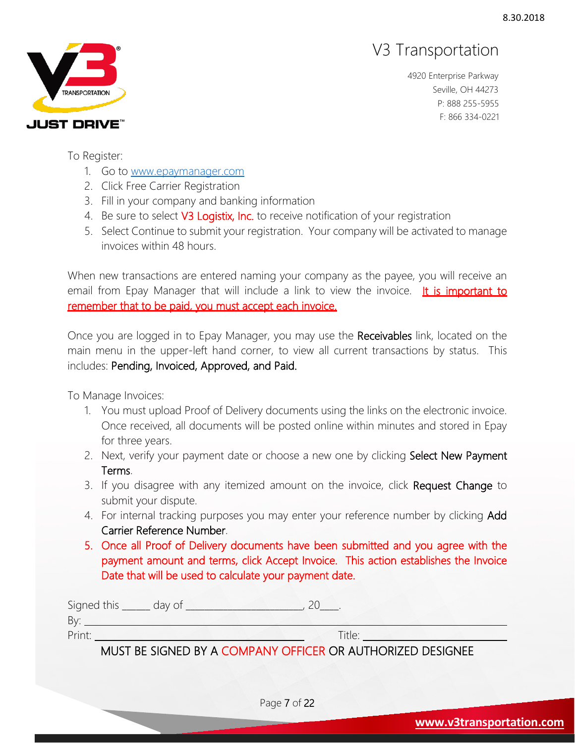

4920 Enterprise Parkway Seville, OH 44273 P: 888 255-5955 F: 866 334-0221

To Register:

- 1. Go to [www.epaymanager.com](http://www.epaymanager.com/)
- 2. Click Free Carrier Registration
- 3. Fill in your company and banking information
- 4. Be sure to select V3 Logistix, Inc. to receive notification of your registration
- 5. Select Continue to submit your registration. Your company will be activated to manage invoices within 48 hours.

When new transactions are entered naming your company as the payee, you will receive an email from Epay Manager that will include a link to view the invoice. It is important to remember that to be paid, you must accept each invoice.

Once you are logged in to Epay Manager, you may use the Receivables link, located on the main menu in the upper-left hand corner, to view all current transactions by status. This includes: Pending, Invoiced, Approved, and Paid.

To Manage Invoices:

- 1. You must upload Proof of Delivery documents using the links on the electronic invoice. Once received, all documents will be posted online within minutes and stored in Epay for three years.
- 2. Next, verify your payment date or choose a new one by clicking Select New Payment Terms.
- 3. If you disagree with any itemized amount on the invoice, click Request Change to submit your dispute.
- 4. For internal tracking purposes you may enter your reference number by clicking Add Carrier Reference Number.
- 5. Once all Proof of Delivery documents have been submitted and you agree with the payment amount and terms, click Accept Invoice. This action establishes the Invoice Date that will be used to calculate your payment date.

Signed this \_\_\_\_\_\_ day of \_\_\_\_\_\_\_\_\_\_\_\_\_\_\_\_\_\_\_\_\_\_, 20\_\_\_\_. By: Print: Title: Title: Title: Title: Title: Title: Title: Title: Title: Title: Title: Title: Title: Title: Title: Title: Title: Title: Title: Title: Title: Title: Title: Title: Title: Title: Title: Title: Title: Title: Title

MUST BE SIGNED BY A COMPANY OFFICER OR AUTHORIZED DESIGNEE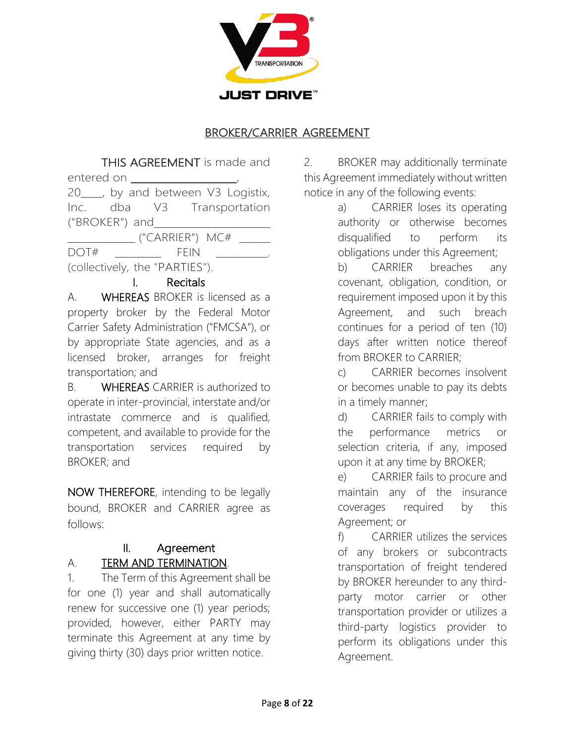

#### BROKER/CARRIER AGREEMENT

THIS AGREEMENT is made and entered on \_\_\_\_\_\_ 20\_\_\_\_, by and between V3 Logistix, Inc. dba V3 Transportation ("BROKER") and ("CARRIER") MC# \_\_\_\_\_\_ DOT# \_\_\_\_\_\_\_\_\_ FEIN \_\_\_\_\_\_\_\_\_\_,

(collectively, the "PARTIES").

#### I. Recitals

A. WHEREAS BROKER is licensed as a property broker by the Federal Motor Carrier Safety Administration ("FMCSA"), or by appropriate State agencies, and as a licensed broker, arranges for freight transportation; and

B. WHEREAS CARRIER is authorized to operate in inter-provincial, interstate and/or intrastate commerce and is qualified, competent, and available to provide for the transportation services required by BROKER; and

NOW THEREFORE, intending to be legally bound, BROKER and CARRIER agree as follows:

### II. Agreement

#### A. TERM AND TERMINATION.

1. The Term of this Agreement shall be for one (1) year and shall automatically renew for successive one (1) year periods; provided, however, either PARTY may terminate this Agreement at any time by giving thirty (30) days prior written notice.

2. BROKER may additionally terminate this Agreement immediately without written notice in any of the following events:

> a) CARRIER loses its operating authority or otherwise becomes disqualified to perform its obligations under this Agreement;

b) CARRIER breaches any covenant, obligation, condition, or requirement imposed upon it by this Agreement, and such breach continues for a period of ten (10) days after written notice thereof from BROKER to CARRIER;

c) CARRIER becomes insolvent or becomes unable to pay its debts in a timely manner;

d) CARRIER fails to comply with the performance metrics or selection criteria, if any, imposed upon it at any time by BROKER;

e) CARRIER fails to procure and maintain any of the insurance coverages required by this Agreement; or

f) CARRIER utilizes the services of any brokers or subcontracts transportation of freight tendered by BROKER hereunder to any thirdparty motor carrier or other transportation provider or utilizes a third-party logistics provider to perform its obligations under this Agreement.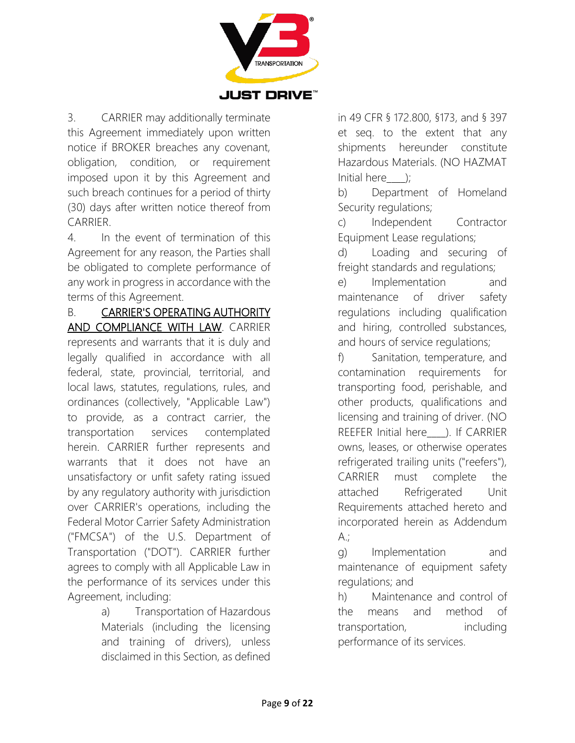

3. CARRIER may additionally terminate this Agreement immediately upon written notice if BROKER breaches any covenant, obligation, condition, or requirement imposed upon it by this Agreement and such breach continues for a period of thirty (30) days after written notice thereof from CARRIER.

4. In the event of termination of this Agreement for any reason, the Parties shall be obligated to complete performance of any work in progress in accordance with the terms of this Agreement.

B. CARRIER'S OPERATING AUTHORITY AND COMPLIANCE WITH LAW. CARRIER represents and warrants that it is duly and legally qualified in accordance with all federal, state, provincial, territorial, and local laws, statutes, regulations, rules, and ordinances (collectively, "Applicable Law") to provide, as a contract carrier, the transportation services contemplated herein. CARRIER further represents and warrants that it does not have an unsatisfactory or unfit safety rating issued by any regulatory authority with jurisdiction over CARRIER's operations, including the Federal Motor Carrier Safety Administration ("FMCSA") of the U.S. Department of Transportation ("DOT"). CARRIER further agrees to comply with all Applicable Law in the performance of its services under this Agreement, including:

> a) Transportation of Hazardous Materials (including the licensing and training of drivers), unless disclaimed in this Section, as defined

in 49 CFR § 172.800, §173, and § 397 et seq. to the extent that any shipments hereunder constitute Hazardous Materials. (NO HAZMAT Initial here  $\qquad$  );

b) Department of Homeland Security regulations;

c) Independent Contractor Equipment Lease regulations;

d) Loading and securing of freight standards and regulations;

e) Implementation and maintenance of driver safety regulations including qualification and hiring, controlled substances, and hours of service regulations;

f) Sanitation, temperature, and contamination requirements for transporting food, perishable, and other products, qualifications and licensing and training of driver. (NO REEFER Initial here \_\_\_ ). If CARRIER owns, leases, or otherwise operates refrigerated trailing units ("reefers"), CARRIER must complete the attached Refrigerated Unit Requirements attached hereto and incorporated herein as Addendum  $A$ .;

g) Implementation and maintenance of equipment safety regulations; and

h) Maintenance and control of the means and method of transportation, including performance of its services.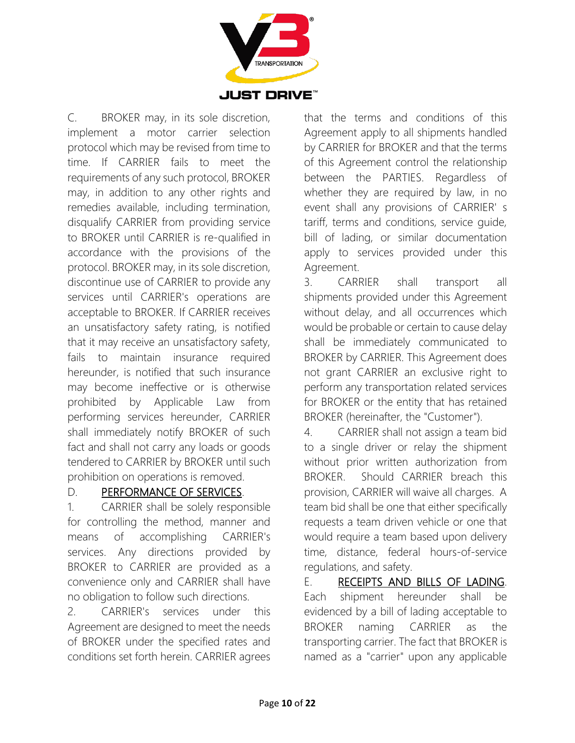

C. BROKER may, in its sole discretion, implement a motor carrier selection protocol which may be revised from time to time. If CARRIER fails to meet the requirements of any such protocol, BROKER may, in addition to any other rights and remedies available, including termination, disqualify CARRIER from providing service to BROKER until CARRIER is re-qualified in accordance with the provisions of the protocol. BROKER may, in its sole discretion, discontinue use of CARRIER to provide any services until CARRIER's operations are acceptable to BROKER. If CARRIER receives an unsatisfactory safety rating, is notified that it may receive an unsatisfactory safety, fails to maintain insurance required hereunder, is notified that such insurance may become ineffective or is otherwise prohibited by Applicable Law from performing services hereunder, CARRIER shall immediately notify BROKER of such fact and shall not carry any loads or goods tendered to CARRIER by BROKER until such prohibition on operations is removed.

#### D. PERFORMANCE OF SERVICES.

1. CARRIER shall be solely responsible for controlling the method, manner and means of accomplishing CARRIER's services. Any directions provided by BROKER to CARRIER are provided as a convenience only and CARRIER shall have no obligation to follow such directions.

2. CARRIER's services under this Agreement are designed to meet the needs of BROKER under the specified rates and conditions set forth herein. CARRIER agrees that the terms and conditions of this Agreement apply to all shipments handled by CARRIER for BROKER and that the terms of this Agreement control the relationship between the PARTIES. Regardless of whether they are required by law, in no event shall any provisions of CARRIER' s tariff, terms and conditions, service guide, bill of lading, or similar documentation apply to services provided under this Agreement.

3. CARRIER shall transport all shipments provided under this Agreement without delay, and all occurrences which would be probable or certain to cause delay shall be immediately communicated to BROKER by CARRIER. This Agreement does not grant CARRIER an exclusive right to perform any transportation related services for BROKER or the entity that has retained BROKER (hereinafter, the "Customer").

4. CARRIER shall not assign a team bid to a single driver or relay the shipment without prior written authorization from BROKER. Should CARRIER breach this provision, CARRIER will waive all charges. A team bid shall be one that either specifically requests a team driven vehicle or one that would require a team based upon delivery time, distance, federal hours-of-service regulations, and safety.

E. RECEIPTS AND BILLS OF LADING. Each shipment hereunder shall be evidenced by a bill of lading acceptable to BROKER naming CARRIER as the transporting carrier. The fact that BROKER is named as a "carrier" upon any applicable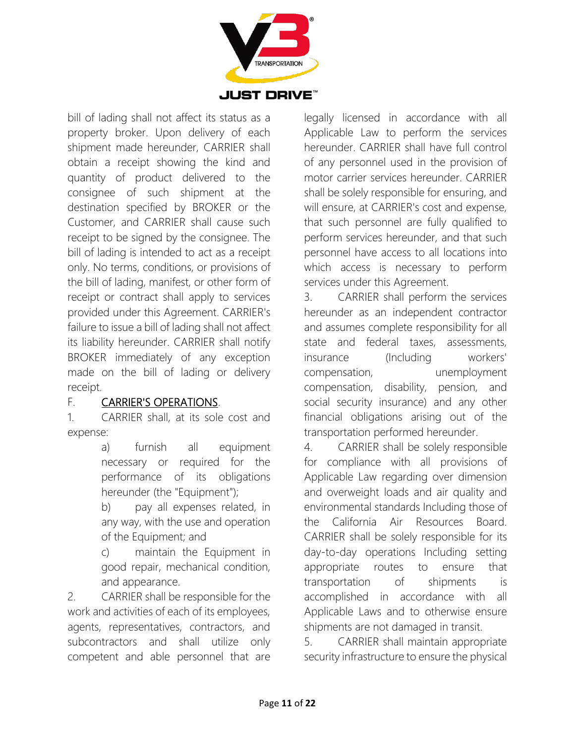

bill of lading shall not affect its status as a property broker. Upon delivery of each shipment made hereunder, CARRIER shall obtain a receipt showing the kind and quantity of product delivered to the consignee of such shipment at the destination specified by BROKER or the Customer, and CARRIER shall cause such receipt to be signed by the consignee. The bill of lading is intended to act as a receipt only. No terms, conditions, or provisions of the bill of lading, manifest, or other form of receipt or contract shall apply to services provided under this Agreement. CARRIER's failure to issue a bill of lading shall not affect its liability hereunder. CARRIER shall notify BROKER immediately of any exception made on the bill of lading or delivery receipt.

#### F. **CARRIER'S OPERATIONS.**

1. CARRIER shall, at its sole cost and expense:

> a) furnish all equipment necessary or required for the performance of its obligations hereunder (the "Equipment");

> b) pay all expenses related, in any way, with the use and operation of the Equipment; and

> c) maintain the Equipment in good repair, mechanical condition, and appearance.

2. CARRIER shall be responsible for the work and activities of each of its employees, agents, representatives, contractors, and subcontractors and shall utilize only competent and able personnel that are

legally licensed in accordance with all Applicable Law to perform the services hereunder. CARRIER shall have full control of any personnel used in the provision of motor carrier services hereunder. CARRIER shall be solely responsible for ensuring, and will ensure, at CARRIER's cost and expense, that such personnel are fully qualified to perform services hereunder, and that such personnel have access to all locations into which access is necessary to perform services under this Agreement.

3. CARRIER shall perform the services hereunder as an independent contractor and assumes complete responsibility for all state and federal taxes, assessments, insurance (Including workers' compensation, unemployment compensation, disability, pension, and social security insurance) and any other financial obligations arising out of the transportation performed hereunder.

4. CARRIER shall be solely responsible for compliance with all provisions of Applicable Law regarding over dimension and overweight loads and air quality and environmental standards Including those of the California Air Resources Board. CARRIER shall be solely responsible for its day-to-day operations Including setting appropriate routes to ensure that transportation of shipments is accomplished in accordance with all Applicable Laws and to otherwise ensure shipments are not damaged in transit.

5. CARRIER shall maintain appropriate security infrastructure to ensure the physical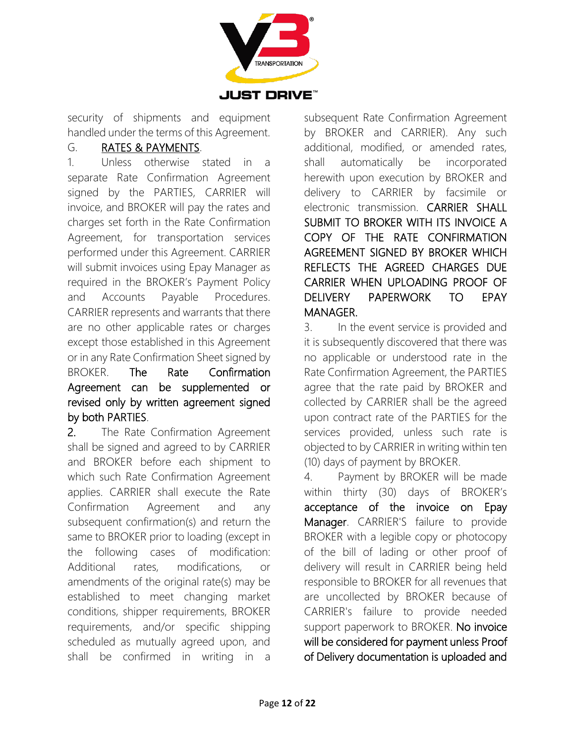

security of shipments and equipment handled under the terms of this Agreement.

#### G. RATES & PAYMENTS.

1. Unless otherwise stated in a separate Rate Confirmation Agreement signed by the PARTIES, CARRIER will invoice, and BROKER will pay the rates and charges set forth in the Rate Confirmation Agreement, for transportation services performed under this Agreement. CARRIER will submit invoices using Epay Manager as required in the BROKER's Payment Policy and Accounts Payable Procedures. CARRIER represents and warrants that there are no other applicable rates or charges except those established in this Agreement or in any Rate Confirmation Sheet signed by BROKER. The Rate Confirmation Agreement can be supplemented or revised only by written agreement signed by both PARTIES.

2. The Rate Confirmation Agreement shall be signed and agreed to by CARRIER and BROKER before each shipment to which such Rate Confirmation Agreement applies. CARRIER shall execute the Rate Confirmation Agreement and any subsequent confirmation(s) and return the same to BROKER prior to loading (except in the following cases of modification: Additional rates, modifications, or amendments of the original rate(s) may be established to meet changing market conditions, shipper requirements, BROKER requirements, and/or specific shipping scheduled as mutually agreed upon, and shall be confirmed in writing in a

subsequent Rate Confirmation Agreement by BROKER and CARRIER). Any such additional, modified, or amended rates, shall automatically be incorporated herewith upon execution by BROKER and delivery to CARRIER by facsimile or electronic transmission. CARRIER SHALL SUBMIT TO BROKER WITH ITS INVOICE A COPY OF THE RATE CONFIRMATION AGREEMENT SIGNED BY BROKER WHICH REFLECTS THE AGREED CHARGES DUE CARRIER WHEN UPLOADING PROOF OF DELIVERY PAPERWORK TO EPAY MANAGER.

3. In the event service is provided and it is subsequently discovered that there was no applicable or understood rate in the Rate Confirmation Agreement, the PARTIES agree that the rate paid by BROKER and collected by CARRIER shall be the agreed upon contract rate of the PARTIES for the services provided, unless such rate is objected to by CARRIER in writing within ten (10) days of payment by BROKER.

4. Payment by BROKER will be made within thirty (30) days of BROKER's acceptance of the invoice on Epay Manager. CARRIER'S failure to provide BROKER with a legible copy or photocopy of the bill of lading or other proof of delivery will result in CARRIER being held responsible to BROKER for all revenues that are uncollected by BROKER because of CARRIER's failure to provide needed support paperwork to BROKER. No invoice will be considered for payment unless Proof of Delivery documentation is uploaded and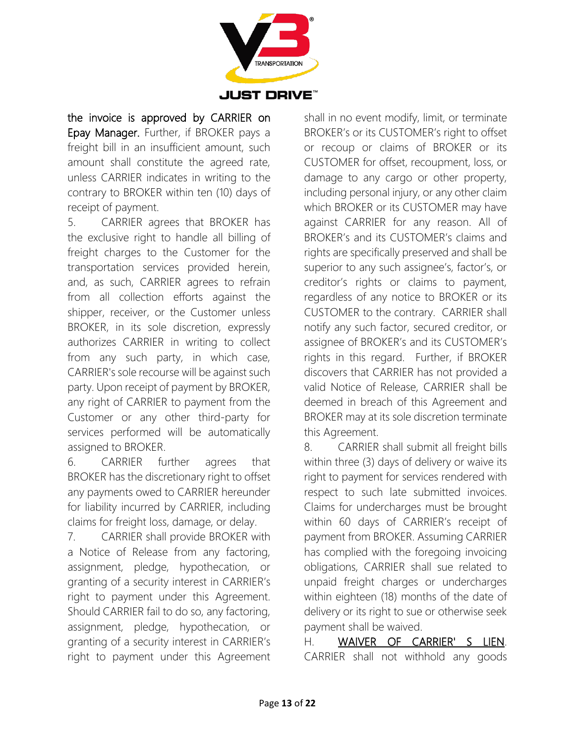

the invoice is approved by CARRIER on Epay Manager. Further, if BROKER pays a freight bill in an insufficient amount, such amount shall constitute the agreed rate, unless CARRIER indicates in writing to the contrary to BROKER within ten (10) days of receipt of payment.

5. CARRIER agrees that BROKER has the exclusive right to handle all billing of freight charges to the Customer for the transportation services provided herein, and, as such, CARRIER agrees to refrain from all collection efforts against the shipper, receiver, or the Customer unless BROKER, in its sole discretion, expressly authorizes CARRIER in writing to collect from any such party, in which case, CARRIER's sole recourse will be against such party. Upon receipt of payment by BROKER, any right of CARRIER to payment from the Customer or any other third-party for services performed will be automatically assigned to BROKER.

6. CARRIER further agrees that BROKER has the discretionary right to offset any payments owed to CARRIER hereunder for liability incurred by CARRIER, including claims for freight loss, damage, or delay.

7. CARRIER shall provide BROKER with a Notice of Release from any factoring, assignment, pledge, hypothecation, or granting of a security interest in CARRIER's right to payment under this Agreement. Should CARRIER fail to do so, any factoring, assignment, pledge, hypothecation, or granting of a security interest in CARRIER's right to payment under this Agreement

shall in no event modify, limit, or terminate BROKER's or its CUSTOMER's right to offset or recoup or claims of BROKER or its CUSTOMER for offset, recoupment, loss, or damage to any cargo or other property, including personal injury, or any other claim which BROKER or its CUSTOMER may have against CARRIER for any reason. All of BROKER's and its CUSTOMER's claims and rights are specifically preserved and shall be superior to any such assignee's, factor's, or creditor's rights or claims to payment, regardless of any notice to BROKER or its CUSTOMER to the contrary. CARRIER shall notify any such factor, secured creditor, or assignee of BROKER's and its CUSTOMER's rights in this regard. Further, if BROKER discovers that CARRIER has not provided a valid Notice of Release, CARRIER shall be deemed in breach of this Agreement and BROKER may at its sole discretion terminate this Agreement.

8. CARRIER shall submit all freight bills within three (3) days of delivery or waive its right to payment for services rendered with respect to such late submitted invoices. Claims for undercharges must be brought within 60 days of CARRIER's receipt of payment from BROKER. Assuming CARRIER has complied with the foregoing invoicing obligations, CARRIER shall sue related to unpaid freight charges or undercharges within eighteen (18) months of the date of delivery or its right to sue or otherwise seek payment shall be waived.

H. WAIVER OF CARRIER' S LIEN. CARRIER shall not withhold any goods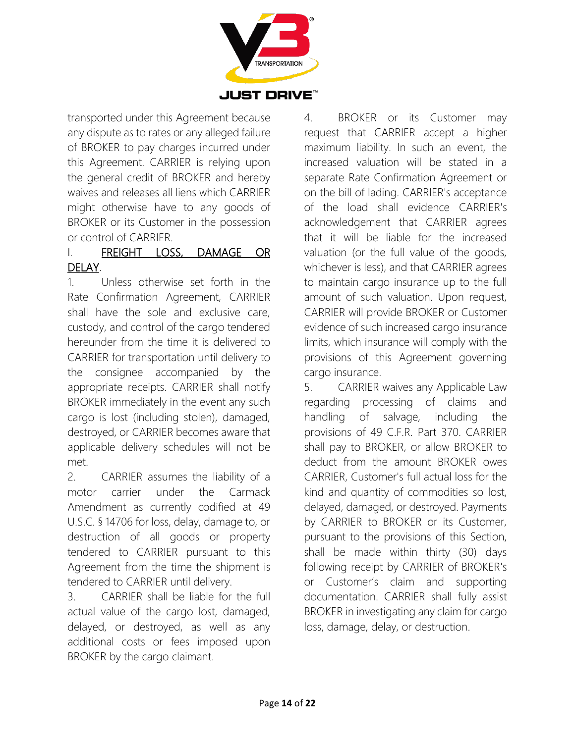

transported under this Agreement because any dispute as to rates or any alleged failure of BROKER to pay charges incurred under this Agreement. CARRIER is relying upon the general credit of BROKER and hereby waives and releases all liens which CARRIER might otherwise have to any goods of BROKER or its Customer in the possession or control of CARRIER.

#### I. FREIGHT LOSS, DAMAGE OR DELAY.

1. Unless otherwise set forth in the Rate Confirmation Agreement, CARRIER shall have the sole and exclusive care, custody, and control of the cargo tendered hereunder from the time it is delivered to CARRIER for transportation until delivery to the consignee accompanied by the appropriate receipts. CARRIER shall notify BROKER immediately in the event any such cargo is lost (including stolen), damaged, destroyed, or CARRIER becomes aware that applicable delivery schedules will not be met.

2. CARRIER assumes the liability of a motor carrier under the Carmack Amendment as currently codified at 49 U.S.C. § 14706 for loss, delay, damage to, or destruction of all goods or property tendered to CARRIER pursuant to this Agreement from the time the shipment is tendered to CARRIER until delivery.

3. CARRIER shall be liable for the full actual value of the cargo lost, damaged, delayed, or destroyed, as well as any additional costs or fees imposed upon BROKER by the cargo claimant.

4. BROKER or its Customer may request that CARRIER accept a higher maximum liability. In such an event, the increased valuation will be stated in a separate Rate Confirmation Agreement or on the bill of lading. CARRIER's acceptance of the load shall evidence CARRIER's acknowledgement that CARRIER agrees that it will be liable for the increased valuation (or the full value of the goods, whichever is less), and that CARRIER agrees to maintain cargo insurance up to the full amount of such valuation. Upon request, CARRIER will provide BROKER or Customer evidence of such increased cargo insurance limits, which insurance will comply with the provisions of this Agreement governing cargo insurance.

5. CARRIER waives any Applicable Law regarding processing of claims and handling of salvage, including the provisions of 49 C.F.R. Part 370. CARRIER shall pay to BROKER, or allow BROKER to deduct from the amount BROKER owes CARRIER, Customer's full actual loss for the kind and quantity of commodities so lost, delayed, damaged, or destroyed. Payments by CARRIER to BROKER or its Customer, pursuant to the provisions of this Section, shall be made within thirty (30) days following receipt by CARRIER of BROKER's or Customer's claim and supporting documentation. CARRIER shall fully assist BROKER in investigating any claim for cargo loss, damage, delay, or destruction.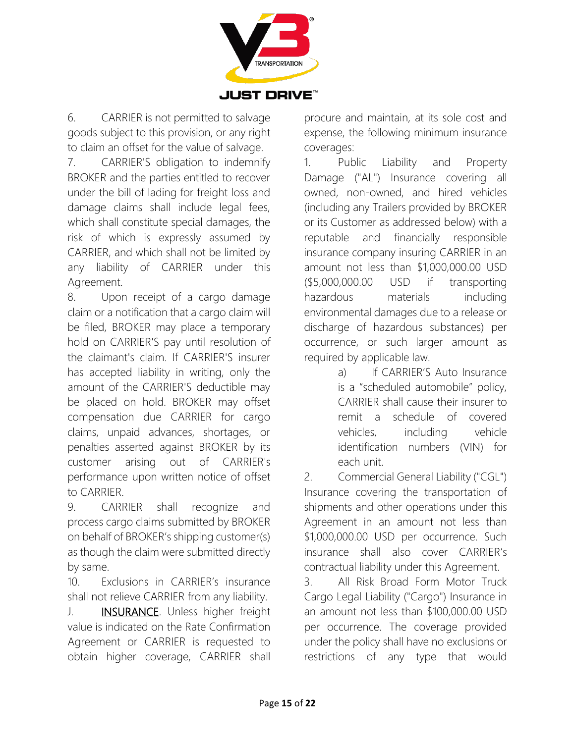

6. CARRIER is not permitted to salvage goods subject to this provision, or any right to claim an offset for the value of salvage.

7. CARRIER'S obligation to indemnify BROKER and the parties entitled to recover under the bill of lading for freight loss and damage claims shall include legal fees, which shall constitute special damages, the risk of which is expressly assumed by CARRIER, and which shall not be limited by any liability of CARRIER under this Agreement.

8. Upon receipt of a cargo damage claim or a notification that a cargo claim will be filed, BROKER may place a temporary hold on CARRIER'S pay until resolution of the claimant's claim. If CARRIER'S insurer has accepted liability in writing, only the amount of the CARRIER'S deductible may be placed on hold. BROKER may offset compensation due CARRIER for cargo claims, unpaid advances, shortages, or penalties asserted against BROKER by its customer arising out of CARRIER's performance upon written notice of offset to CARRIER.

9. CARRIER shall recognize and process cargo claims submitted by BROKER on behalf of BROKER's shipping customer(s) as though the claim were submitted directly by same.

10. Exclusions in CARRIER's insurance shall not relieve CARRIER from any liability.

J. **INSURANCE**. Unless higher freight value is indicated on the Rate Confirmation Agreement or CARRIER is requested to obtain higher coverage, CARRIER shall

procure and maintain, at its sole cost and expense, the following minimum insurance coverages:

1. Public Liability and Property Damage ("AL") Insurance covering all owned, non-owned, and hired vehicles (including any Trailers provided by BROKER or its Customer as addressed below) with a reputable and financially responsible insurance company insuring CARRIER in an amount not less than \$1,000,000.00 USD (\$5,000,000.00 USD if transporting hazardous materials including environmental damages due to a release or discharge of hazardous substances) per occurrence, or such larger amount as required by applicable law.

> a) If CARRIER'S Auto Insurance is a "scheduled automobile" policy, CARRIER shall cause their insurer to remit a schedule of covered vehicles, including vehicle identification numbers (VIN) for each unit.

2. Commercial General Liability ("CGL") Insurance covering the transportation of shipments and other operations under this Agreement in an amount not less than \$1,000,000.00 USD per occurrence. Such insurance shall also cover CARRIER's contractual liability under this Agreement.

3. All Risk Broad Form Motor Truck Cargo Legal Liability ("Cargo") Insurance in an amount not less than \$100,000.00 USD per occurrence. The coverage provided under the policy shall have no exclusions or restrictions of any type that would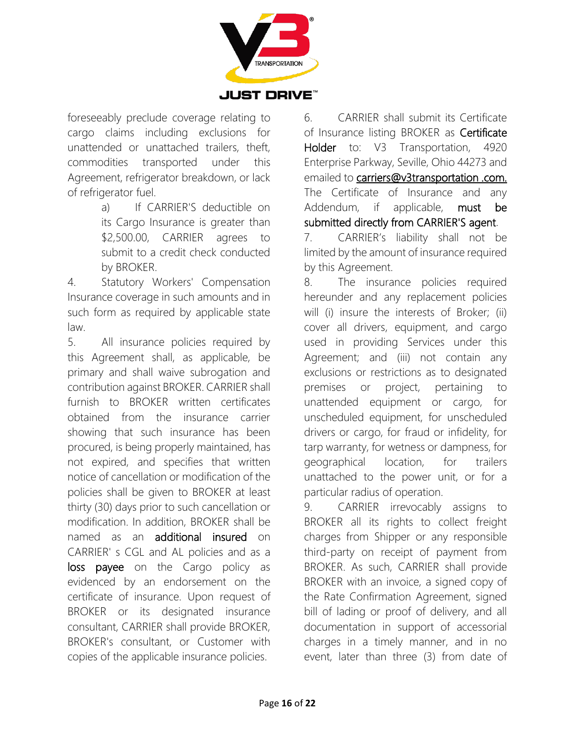

foreseeably preclude coverage relating to cargo claims including exclusions for unattended or unattached trailers, theft, commodities transported under this Agreement, refrigerator breakdown, or lack of refrigerator fuel.

> a) If CARRIER'S deductible on its Cargo Insurance is greater than \$2,500.00, CARRIER agrees to submit to a credit check conducted by BROKER.

4. Statutory Workers' Compensation Insurance coverage in such amounts and in such form as required by applicable state law.

5. All insurance policies required by this Agreement shall, as applicable, be primary and shall waive subrogation and contribution against BROKER. CARRIER shall furnish to BROKER written certificates obtained from the insurance carrier showing that such insurance has been procured, is being properly maintained, has not expired, and specifies that written notice of cancellation or modification of the policies shall be given to BROKER at least thirty (30) days prior to such cancellation or modification. In addition, BROKER shall be named as an additional insured on CARRIER' s CGL and AL policies and as a loss payee on the Cargo policy as evidenced by an endorsement on the certificate of insurance. Upon request of BROKER or its designated insurance consultant, CARRIER shall provide BROKER, BROKER's consultant, or Customer with copies of the applicable insurance policies.

6. CARRIER shall submit its Certificate of Insurance listing BROKER as Certificate Holder to: V3 Transportation, 4920 Enterprise Parkway, Seville, Ohio 44273 and emailed to [carriers@v3transportation .com.](mailto:carriers@v3transportation.com) The Certificate of Insurance and any Addendum, if applicable, must be submitted directly from CARRIER'S agent.

7. CARRIER's liability shall not be limited by the amount of insurance required by this Agreement.

8. The insurance policies required hereunder and any replacement policies will (i) insure the interests of Broker; (ii) cover all drivers, equipment, and cargo used in providing Services under this Agreement; and (iii) not contain any exclusions or restrictions as to designated premises or project, pertaining to unattended equipment or cargo, for unscheduled equipment, for unscheduled drivers or cargo, for fraud or infidelity, for tarp warranty, for wetness or dampness, for geographical location, for trailers unattached to the power unit, or for a particular radius of operation.

9. CARRIER irrevocably assigns to BROKER all its rights to collect freight charges from Shipper or any responsible third-party on receipt of payment from BROKER. As such, CARRIER shall provide BROKER with an invoice, a signed copy of the Rate Confirmation Agreement, signed bill of lading or proof of delivery, and all documentation in support of accessorial charges in a timely manner, and in no event, later than three (3) from date of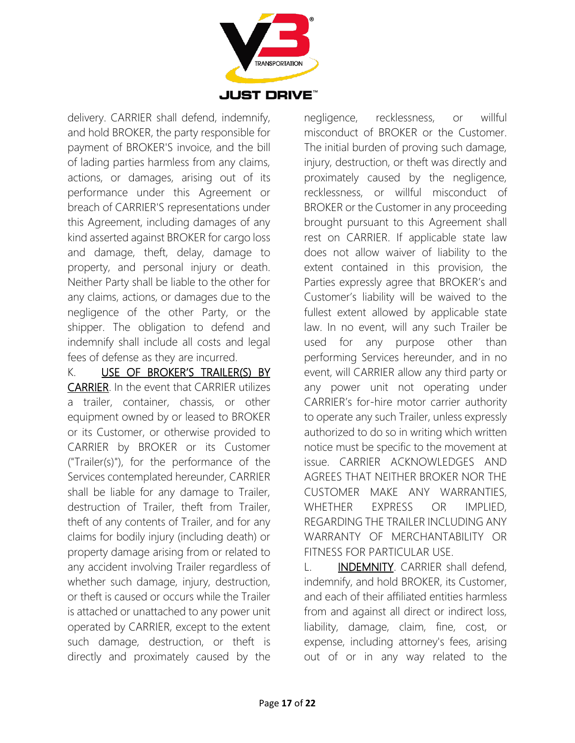

delivery. CARRIER shall defend, indemnify, and hold BROKER, the party responsible for payment of BROKER'S invoice, and the bill of lading parties harmless from any claims, actions, or damages, arising out of its performance under this Agreement or breach of CARRIER'S representations under this Agreement, including damages of any kind asserted against BROKER for cargo loss and damage, theft, delay, damage to property, and personal injury or death. Neither Party shall be liable to the other for any claims, actions, or damages due to the negligence of the other Party, or the shipper. The obligation to defend and indemnify shall include all costs and legal fees of defense as they are incurred.

K. USE OF BROKER'S TRAILER(S) BY CARRIER. In the event that CARRIER utilizes a trailer, container, chassis, or other equipment owned by or leased to BROKER or its Customer, or otherwise provided to CARRIER by BROKER or its Customer ("Trailer(s)"), for the performance of the Services contemplated hereunder, CARRIER shall be liable for any damage to Trailer, destruction of Trailer, theft from Trailer, theft of any contents of Trailer, and for any claims for bodily injury (including death) or property damage arising from or related to any accident involving Trailer regardless of whether such damage, injury, destruction, or theft is caused or occurs while the Trailer is attached or unattached to any power unit operated by CARRIER, except to the extent such damage, destruction, or theft is directly and proximately caused by the

negligence, recklessness, or willful misconduct of BROKER or the Customer. The initial burden of proving such damage, injury, destruction, or theft was directly and proximately caused by the negligence, recklessness, or willful misconduct of BROKER or the Customer in any proceeding brought pursuant to this Agreement shall rest on CARRIER. If applicable state law does not allow waiver of liability to the extent contained in this provision, the Parties expressly agree that BROKER's and Customer's liability will be waived to the fullest extent allowed by applicable state law. In no event, will any such Trailer be used for any purpose other than performing Services hereunder, and in no event, will CARRIER allow any third party or any power unit not operating under CARRIER's for-hire motor carrier authority to operate any such Trailer, unless expressly authorized to do so in writing which written notice must be specific to the movement at issue. CARRIER ACKNOWLEDGES AND AGREES THAT NEITHER BROKER NOR THE CUSTOMER MAKE ANY WARRANTIES, WHETHER EXPRESS OR IMPLIED, REGARDING THE TRAILER INCLUDING ANY WARRANTY OF MERCHANTABILITY OR FITNESS FOR PARTICULAR USE.

L. **INDEMNITY**. CARRIER shall defend, indemnify, and hold BROKER, its Customer, and each of their affiliated entities harmless from and against all direct or indirect loss, liability, damage, claim, fine, cost, or expense, including attorney's fees, arising out of or in any way related to the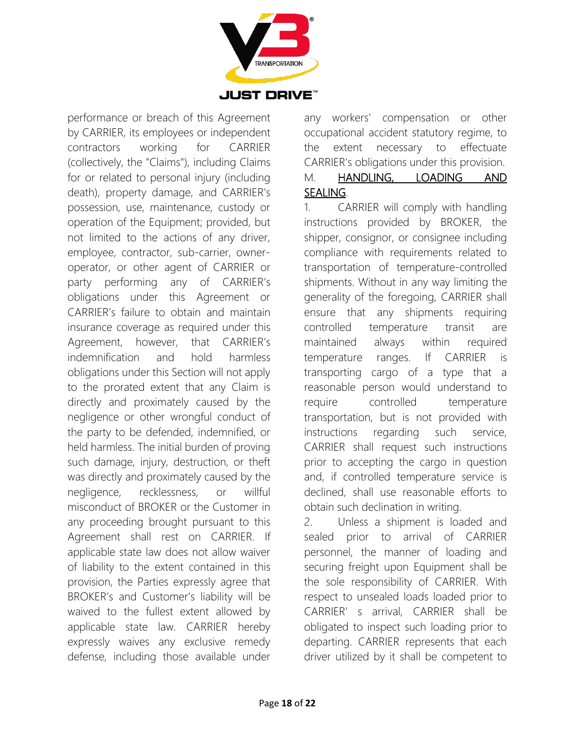

performance or breach of this Agreement by CARRIER, its employees or independent contractors working for CARRIER (collectively, the "Claims"), including Claims for or related to personal injury (including death), property damage, and CARRIER's possession, use, maintenance, custody or operation of the Equipment; provided, but not limited to the actions of any driver, employee, contractor, sub-carrier, owneroperator, or other agent of CARRIER or party performing any of CARRIER's obligations under this Agreement or CARRIER's failure to obtain and maintain insurance coverage as required under this Agreement, however, that CARRIER's indemnification and hold harmless obligations under this Section will not apply to the prorated extent that any Claim is directly and proximately caused by the negligence or other wrongful conduct of the party to be defended, indemnified, or held harmless. The initial burden of proving such damage, injury, destruction, or theft was directly and proximately caused by the negligence, recklessness, or willful misconduct of BROKER or the Customer in any proceeding brought pursuant to this Agreement shall rest on CARRIER. If applicable state law does not allow waiver of liability to the extent contained in this provision, the Parties expressly agree that BROKER's and Customer's liability will be waived to the fullest extent allowed by applicable state law. CARRIER hereby expressly waives any exclusive remedy defense, including those available under

any workers' compensation or other occupational accident statutory regime, to the extent necessary to effectuate CARRIER's obligations under this provision. M. HANDLING, LOADING AND

## SEALING.

1. CARRIER will comply with handling instructions provided by BROKER, the shipper, consignor, or consignee including compliance with requirements related to transportation of temperature-controlled shipments. Without in any way limiting the generality of the foregoing, CARRIER shall ensure that any shipments requiring controlled temperature transit are maintained always within required temperature ranges. If CARRIER is transporting cargo of a type that a reasonable person would understand to require controlled temperature transportation, but is not provided with instructions regarding such service, CARRIER shall request such instructions prior to accepting the cargo in question and, if controlled temperature service is declined, shall use reasonable efforts to obtain such declination in writing.

2. Unless a shipment is loaded and sealed prior to arrival of CARRIER personnel, the manner of loading and securing freight upon Equipment shall be the sole responsibility of CARRIER. With respect to unsealed loads loaded prior to CARRIER' s arrival, CARRIER shall be obligated to inspect such loading prior to departing. CARRIER represents that each driver utilized by it shall be competent to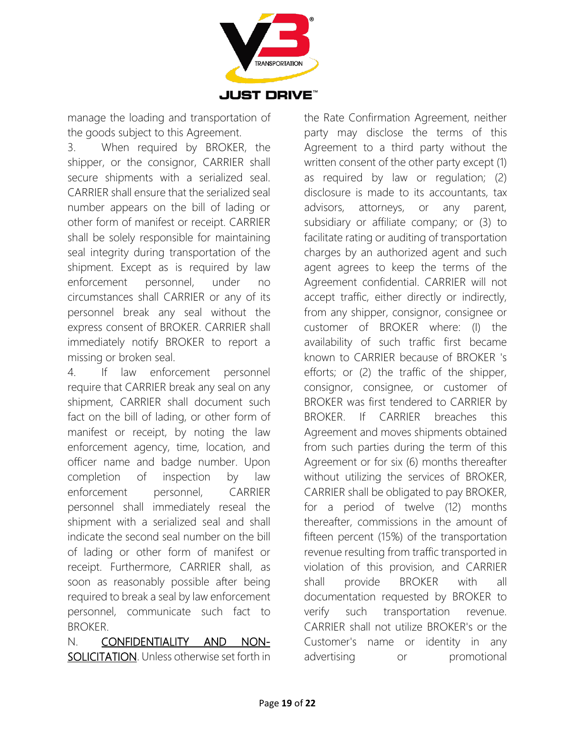

manage the loading and transportation of the goods subject to this Agreement.

3. When required by BROKER, the shipper, or the consignor, CARRIER shall secure shipments with a serialized seal. CARRIER shall ensure that the serialized seal number appears on the bill of lading or other form of manifest or receipt. CARRIER shall be solely responsible for maintaining seal integrity during transportation of the shipment. Except as is required by law enforcement personnel, under no circumstances shall CARRIER or any of its personnel break any seal without the express consent of BROKER. CARRIER shall immediately notify BROKER to report a missing or broken seal.

4. If law enforcement personnel require that CARRIER break any seal on any shipment, CARRIER shall document such fact on the bill of lading, or other form of manifest or receipt, by noting the law enforcement agency, time, location, and officer name and badge number. Upon completion of inspection by law enforcement personnel, CARRIER personnel shall immediately reseal the shipment with a serialized seal and shall indicate the second seal number on the bill of lading or other form of manifest or receipt. Furthermore, CARRIER shall, as soon as reasonably possible after being required to break a seal by law enforcement personnel, communicate such fact to BROKER.

N. CONFIDENTIALITY AND NON-SOLICITATION. Unless otherwise set forth in the Rate Confirmation Agreement, neither party may disclose the terms of this Agreement to a third party without the written consent of the other party except (1) as required by law or regulation; (2) disclosure is made to its accountants, tax advisors, attorneys, or any parent, subsidiary or affiliate company; or (3) to facilitate rating or auditing of transportation charges by an authorized agent and such agent agrees to keep the terms of the Agreement confidential. CARRIER will not accept traffic, either directly or indirectly, from any shipper, consignor, consignee or customer of BROKER where: (I) the availability of such traffic first became known to CARRIER because of BROKER 's efforts; or (2) the traffic of the shipper, consignor, consignee, or customer of BROKER was first tendered to CARRIER by BROKER. If CARRIER breaches this Agreement and moves shipments obtained from such parties during the term of this Agreement or for six (6) months thereafter without utilizing the services of BROKER, CARRIER shall be obligated to pay BROKER, for a period of twelve (12) months thereafter, commissions in the amount of fifteen percent (15%) of the transportation revenue resulting from traffic transported in violation of this provision, and CARRIER shall provide BROKER with all documentation requested by BROKER to verify such transportation revenue. CARRIER shall not utilize BROKER's or the Customer's name or identity in any advertising or promotional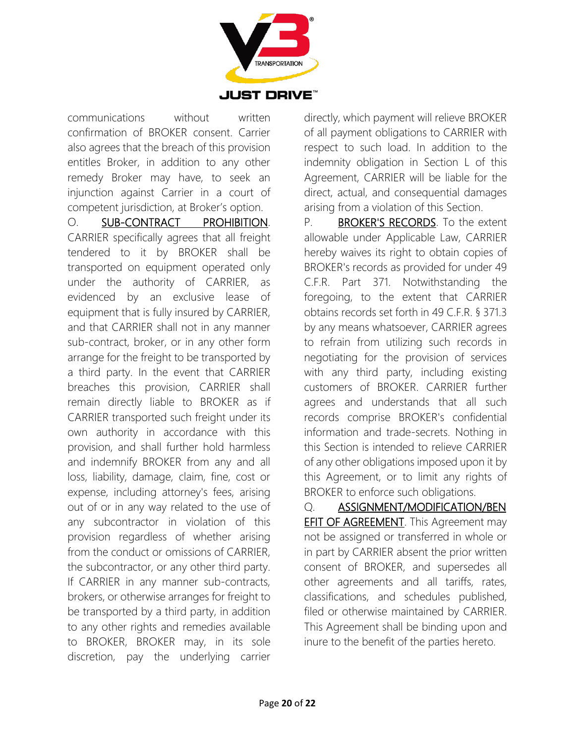

communications without written confirmation of BROKER consent. Carrier also agrees that the breach of this provision entitles Broker, in addition to any other remedy Broker may have, to seek an injunction against Carrier in a court of competent jurisdiction, at Broker's option.

O. **SUB-CONTRACT** PROHIBITION. CARRIER specifically agrees that all freight tendered to it by BROKER shall be transported on equipment operated only under the authority of CARRIER, as evidenced by an exclusive lease of equipment that is fully insured by CARRIER, and that CARRIER shall not in any manner sub-contract, broker, or in any other form arrange for the freight to be transported by a third party. In the event that CARRIER breaches this provision, CARRIER shall remain directly liable to BROKER as if CARRIER transported such freight under its own authority in accordance with this provision, and shall further hold harmless and indemnify BROKER from any and all loss, liability, damage, claim, fine, cost or expense, including attorney's fees, arising out of or in any way related to the use of any subcontractor in violation of this provision regardless of whether arising from the conduct or omissions of CARRIER, the subcontractor, or any other third party. If CARRIER in any manner sub-contracts, brokers, or otherwise arranges for freight to be transported by a third party, in addition to any other rights and remedies available to BROKER, BROKER may, in its sole discretion, pay the underlying carrier

directly, which payment will relieve BROKER of all payment obligations to CARRIER with respect to such load. In addition to the indemnity obligation in Section L of this Agreement, CARRIER will be liable for the direct, actual, and consequential damages arising from a violation of this Section.

P. **BROKER'S RECORDS**. To the extent allowable under Applicable Law, CARRIER hereby waives its right to obtain copies of BROKER's records as provided for under 49 C.F.R. Part 371. Notwithstanding the foregoing, to the extent that CARRIER obtains records set forth in 49 C.F.R. § 371.3 by any means whatsoever, CARRIER agrees to refrain from utilizing such records in negotiating for the provision of services with any third party, including existing customers of BROKER. CARRIER further agrees and understands that all such records comprise BROKER's confidential information and trade-secrets. Nothing in this Section is intended to relieve CARRIER of any other obligations imposed upon it by this Agreement, or to limit any rights of BROKER to enforce such obligations.

Q. ASSIGNMENT/MODIFICATION/BEN EFIT OF AGREEMENT. This Agreement may not be assigned or transferred in whole or in part by CARRIER absent the prior written consent of BROKER, and supersedes all other agreements and all tariffs, rates, classifications, and schedules published, filed or otherwise maintained by CARRIER. This Agreement shall be binding upon and inure to the benefit of the parties hereto.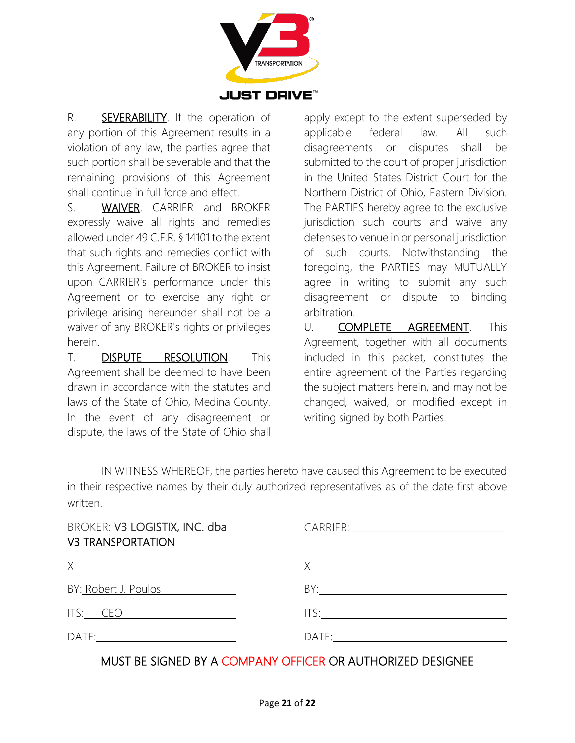

R. **SEVERABILITY**. If the operation of any portion of this Agreement results in a violation of any law, the parties agree that such portion shall be severable and that the remaining provisions of this Agreement shall continue in full force and effect.

S. WAIVER. CARRIER and BROKER expressly waive all rights and remedies allowed under 49 C.F.R. § 14101 to the extent that such rights and remedies conflict with this Agreement. Failure of BROKER to insist upon CARRIER's performance under this Agreement or to exercise any right or privilege arising hereunder shall not be a waiver of any BROKER's rights or privileges herein.

T. DISPUTE RESOLUTION. This Agreement shall be deemed to have been drawn in accordance with the statutes and laws of the State of Ohio, Medina County. In the event of any disagreement or dispute, the laws of the State of Ohio shall

apply except to the extent superseded by applicable federal law. All such disagreements or disputes shall be submitted to the court of proper jurisdiction in the United States District Court for the Northern District of Ohio, Eastern Division. The PARTIES hereby agree to the exclusive jurisdiction such courts and waive any defenses to venue in or personal jurisdiction of such courts. Notwithstanding the foregoing, the PARTIES may MUTUALLY agree in writing to submit any such disagreement or dispute to binding arbitration.

U. COMPLETE AGREEMENT. This Agreement, together with all documents included in this packet, constitutes the entire agreement of the Parties regarding the subject matters herein, and may not be changed, waived, or modified except in writing signed by both Parties.

IN WITNESS WHEREOF, the parties hereto have caused this Agreement to be executed in their respective names by their duly authorized representatives as of the date first above written.

| BROKER: V3 LOGISTIX, INC. dba<br><b>V3 TRANSPORTATION</b>                                                                                                                                                                     |                                   |  |
|-------------------------------------------------------------------------------------------------------------------------------------------------------------------------------------------------------------------------------|-----------------------------------|--|
| $X$ and $X$ and $X$ and $X$ and $X$ and $X$ and $X$ and $X$ and $X$ and $X$ and $X$ and $X$ and $X$ and $X$ and $X$ and $X$ and $X$ and $X$ and $X$ and $X$ and $X$ and $X$ and $X$ and $X$ and $X$ and $X$ and $X$ and $X$ a | X <u>________________________</u> |  |
| BY: Robert J. Poulos<br>$\frac{1}{\sqrt{1-\frac{1}{2}}}\left( \frac{1}{\sqrt{1-\frac{1}{2}}}\right)$                                                                                                                          |                                   |  |
| ITS: CEO                                                                                                                                                                                                                      | ITS: $\qquad \qquad$              |  |
| $DATE: \begin{tabular}{ c c c } \hline \quad \quad & \quad \quad & \quad \quad & \quad \quad \\ \hline \end{tabular}$                                                                                                         |                                   |  |

#### MUST BE SIGNED BY A COMPANY OFFICER OR AUTHORIZED DESIGNEE